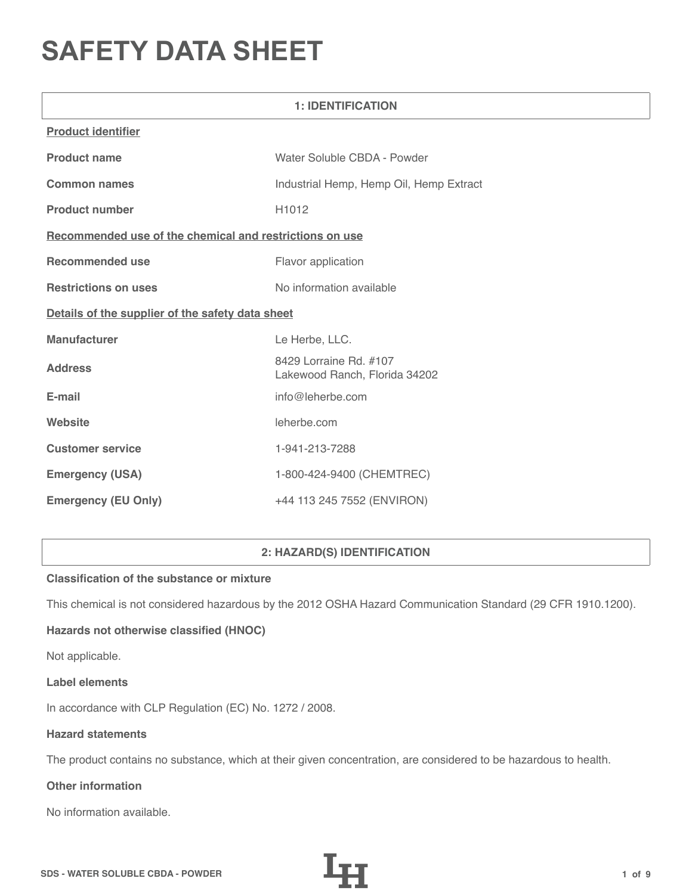# **SAFETY DATA SHEET**

| <b>1: IDENTIFICATION</b>                                |                                                         |  |  |
|---------------------------------------------------------|---------------------------------------------------------|--|--|
| <b>Product identifier</b>                               |                                                         |  |  |
| <b>Product name</b>                                     | Water Soluble CBDA - Powder                             |  |  |
| <b>Common names</b>                                     | Industrial Hemp, Hemp Oil, Hemp Extract                 |  |  |
| <b>Product number</b>                                   | H1012                                                   |  |  |
| Recommended use of the chemical and restrictions on use |                                                         |  |  |
| <b>Recommended use</b>                                  | Flavor application                                      |  |  |
| <b>Restrictions on uses</b>                             | No information available                                |  |  |
| Details of the supplier of the safety data sheet        |                                                         |  |  |
| <b>Manufacturer</b>                                     | Le Herbe, LLC.                                          |  |  |
| <b>Address</b>                                          | 8429 Lorraine Rd. #107<br>Lakewood Ranch, Florida 34202 |  |  |
| E-mail                                                  | info@leherbe.com                                        |  |  |
| Website                                                 | leherbe.com                                             |  |  |
| <b>Customer service</b>                                 | 1-941-213-7288                                          |  |  |
| <b>Emergency (USA)</b>                                  | 1-800-424-9400 (CHEMTREC)                               |  |  |
| <b>Emergency (EU Only)</b>                              | +44 113 245 7552 (ENVIRON)                              |  |  |

# **2: HAZARD(S) IDENTIFICATION**

# **Classification of the substance or mixture**

This chemical is not considered hazardous by the 2012 OSHA Hazard Communication Standard (29 CFR 1910.1200).

# **Hazards not otherwise classified (HNOC)**

Not applicable.

#### **Label elements**

In accordance with CLP Regulation (EC) No. 1272 / 2008.

#### **Hazard statements**

The product contains no substance, which at their given concentration, are considered to be hazardous to health.

## **Other information**

No information available.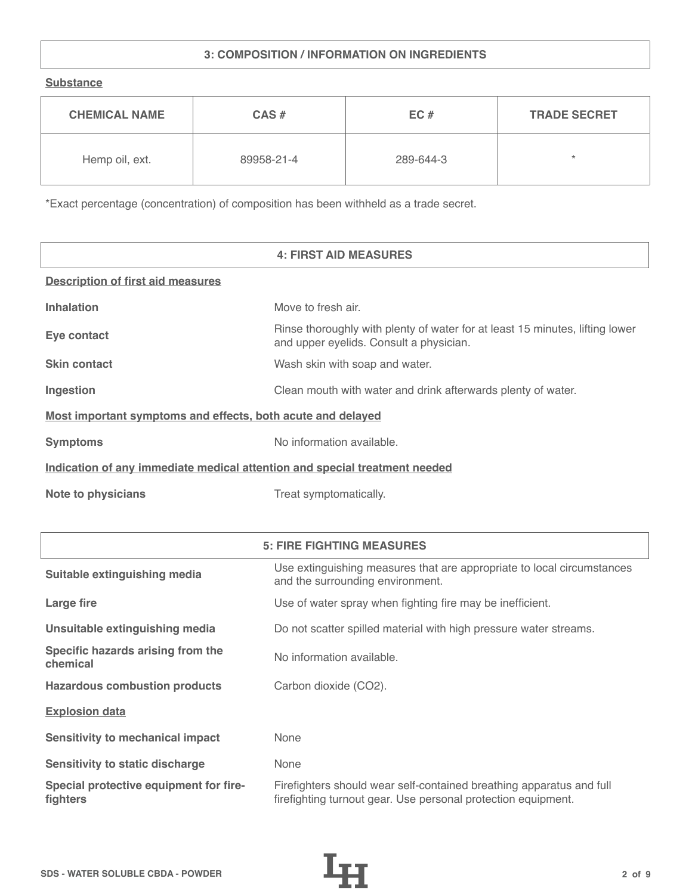# **3: COMPOSITION / INFORMATION ON INGREDIENTS**

**Substance**

| <b>CHEMICAL NAME</b> | $CAS \#$   | EC#       | <b>TRADE SECRET</b> |
|----------------------|------------|-----------|---------------------|
| Hemp oil, ext.       | 89958-21-4 | 289-644-3 | $\star$             |

\*Exact percentage (concentration) of composition has been withheld as a trade secret.

|                                                                            | <b>4: FIRST AID MEASURES</b>                                                                                            |
|----------------------------------------------------------------------------|-------------------------------------------------------------------------------------------------------------------------|
| <b>Description of first aid measures</b>                                   |                                                                                                                         |
| <b>Inhalation</b>                                                          | Move to fresh air.                                                                                                      |
| Eye contact                                                                | Rinse thoroughly with plenty of water for at least 15 minutes, lifting lower<br>and upper eyelids. Consult a physician. |
| <b>Skin contact</b>                                                        | Wash skin with soap and water.                                                                                          |
| Ingestion                                                                  | Clean mouth with water and drink afterwards plenty of water.                                                            |
| Most important symptoms and effects, both acute and delayed                |                                                                                                                         |
| <b>Symptoms</b>                                                            | No information available.                                                                                               |
| Indication of any immediate medical attention and special treatment needed |                                                                                                                         |
| <b>Note to physicians</b>                                                  | Treat symptomatically.                                                                                                  |

|                                                    | <b>5: FIRE FIGHTING MEASURES</b>                                                                                                      |
|----------------------------------------------------|---------------------------------------------------------------------------------------------------------------------------------------|
| Suitable extinguishing media                       | Use extinguishing measures that are appropriate to local circumstances<br>and the surrounding environment.                            |
| Large fire                                         | Use of water spray when fighting fire may be inefficient.                                                                             |
| Unsuitable extinguishing media                     | Do not scatter spilled material with high pressure water streams.                                                                     |
| Specific hazards arising from the<br>chemical      | No information available.                                                                                                             |
| <b>Hazardous combustion products</b>               | Carbon dioxide (CO2).                                                                                                                 |
| <b>Explosion data</b>                              |                                                                                                                                       |
| <b>Sensitivity to mechanical impact</b>            | None                                                                                                                                  |
| <b>Sensitivity to static discharge</b>             | None                                                                                                                                  |
| Special protective equipment for fire-<br>fighters | Firefighters should wear self-contained breathing apparatus and full<br>firefighting turnout gear. Use personal protection equipment. |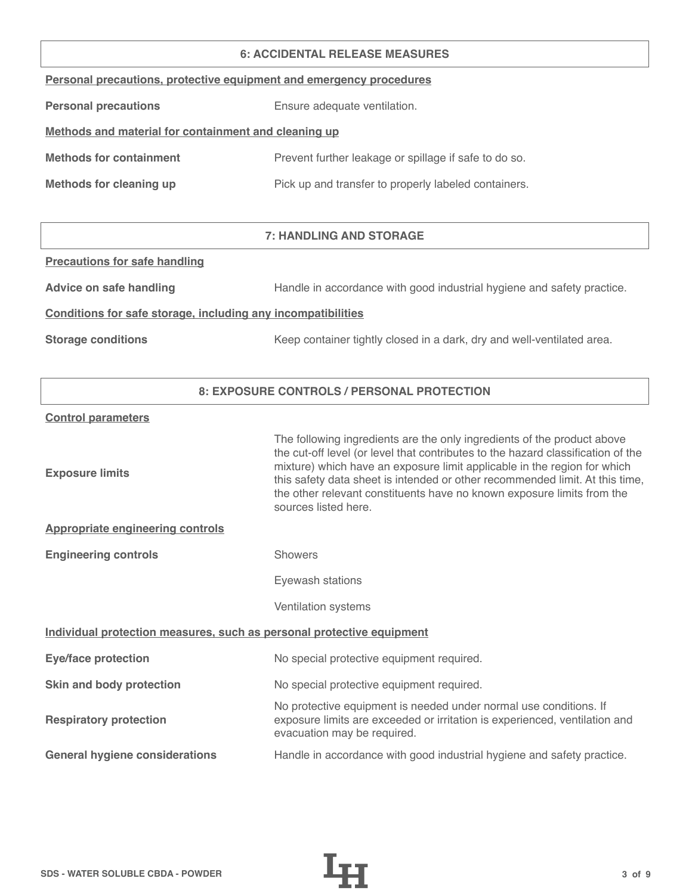#### **6: ACCIDENTAL RELEASE MEASURES**

|  |  | Personal precautions, protective equipment and emergency procedures |  |
|--|--|---------------------------------------------------------------------|--|
|  |  |                                                                     |  |

**Personal precautions** Ensure adequate ventilation.

# **Methods and material for containment and cleaning up**

| <b>Methods for containment</b> | Prevent further leakage or spillage if safe to do so. |
|--------------------------------|-------------------------------------------------------|
|                                |                                                       |

**Methods for cleaning up Pick up and transfer to properly labeled containers.** 

# **7: HANDLING AND STORAGE**

**Precautions for safe handling**

Advice on safe handling **Handle in accordance with good industrial hygiene and safety practice.** 

## **Conditions for safe storage, including any incompatibilities**

**Storage conditions** Keep container tightly closed in a dark, dry and well-ventilated area.

## **8: EXPOSURE CONTROLS / PERSONAL PROTECTION**

#### **Control parameters**

| <b>Exposure limits</b>                                                | The following ingredients are the only ingredients of the product above<br>the cut-off level (or level that contributes to the hazard classification of the<br>mixture) which have an exposure limit applicable in the region for which<br>this safety data sheet is intended or other recommended limit. At this time,<br>the other relevant constituents have no known exposure limits from the<br>sources listed here. |
|-----------------------------------------------------------------------|---------------------------------------------------------------------------------------------------------------------------------------------------------------------------------------------------------------------------------------------------------------------------------------------------------------------------------------------------------------------------------------------------------------------------|
| <b>Appropriate engineering controls</b>                               |                                                                                                                                                                                                                                                                                                                                                                                                                           |
| <b>Engineering controls</b>                                           | <b>Showers</b>                                                                                                                                                                                                                                                                                                                                                                                                            |
|                                                                       | Eyewash stations                                                                                                                                                                                                                                                                                                                                                                                                          |
|                                                                       | Ventilation systems                                                                                                                                                                                                                                                                                                                                                                                                       |
| Individual protection measures, such as personal protective equipment |                                                                                                                                                                                                                                                                                                                                                                                                                           |
| <b>Eye/face protection</b>                                            | No special protective equipment required.                                                                                                                                                                                                                                                                                                                                                                                 |
| Skin and body protection                                              | No special protective equipment required.                                                                                                                                                                                                                                                                                                                                                                                 |
| <b>Respiratory protection</b>                                         | No protective equipment is needed under normal use conditions. If<br>exposure limits are exceeded or irritation is experienced, ventilation and<br>evacuation may be required.                                                                                                                                                                                                                                            |
| <b>General hygiene considerations</b>                                 | Handle in accordance with good industrial hygiene and safety practice.                                                                                                                                                                                                                                                                                                                                                    |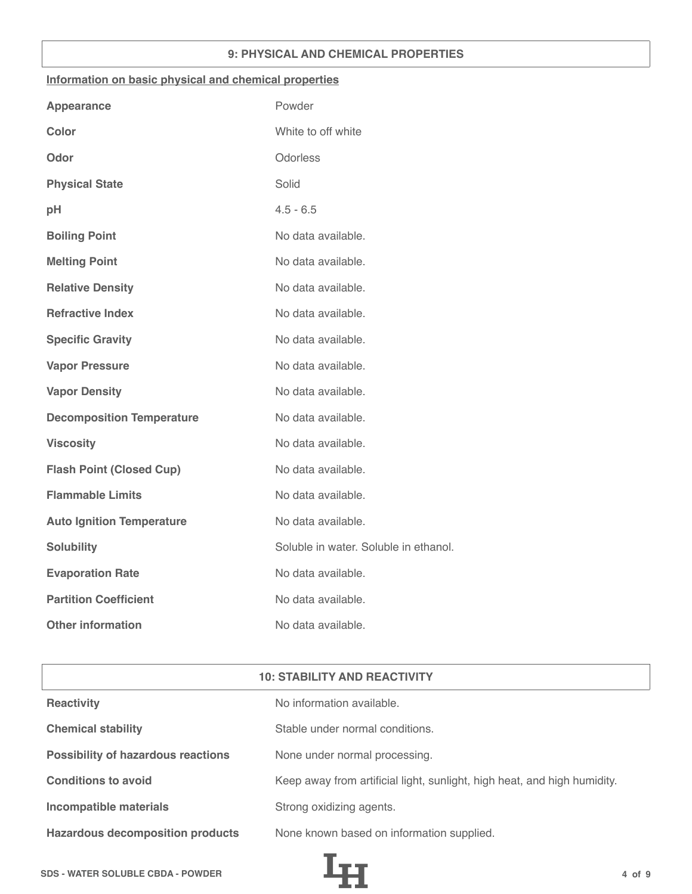## **9: PHYSICAL AND CHEMICAL PROPERTIES**

## **Information on basic physical and chemical properties**

| <b>Appearance</b>                | Powder                                |
|----------------------------------|---------------------------------------|
| <b>Color</b>                     | White to off white                    |
| Odor                             | Odorless                              |
| <b>Physical State</b>            | Solid                                 |
| pH                               | $4.5 - 6.5$                           |
| <b>Boiling Point</b>             | No data available.                    |
| <b>Melting Point</b>             | No data available.                    |
| <b>Relative Density</b>          | No data available.                    |
| <b>Refractive Index</b>          | No data available.                    |
| <b>Specific Gravity</b>          | No data available.                    |
| <b>Vapor Pressure</b>            | No data available.                    |
| <b>Vapor Density</b>             | No data available.                    |
| <b>Decomposition Temperature</b> | No data available.                    |
| <b>Viscosity</b>                 | No data available.                    |
| <b>Flash Point (Closed Cup)</b>  | No data available.                    |
| <b>Flammable Limits</b>          | No data available.                    |
| <b>Auto Ignition Temperature</b> | No data available.                    |
| <b>Solubility</b>                | Soluble in water. Soluble in ethanol. |
| <b>Evaporation Rate</b>          | No data available.                    |
| <b>Partition Coefficient</b>     | No data available.                    |
| <b>Other information</b>         | No data available.                    |

| <b>10: STABILITY AND REACTIVITY</b>       |                                                                          |  |
|-------------------------------------------|--------------------------------------------------------------------------|--|
| <b>Reactivity</b>                         | No information available.                                                |  |
| <b>Chemical stability</b>                 | Stable under normal conditions.                                          |  |
| <b>Possibility of hazardous reactions</b> | None under normal processing.                                            |  |
| <b>Conditions to avoid</b>                | Keep away from artificial light, sunlight, high heat, and high humidity. |  |
| <b>Incompatible materials</b>             | Strong oxidizing agents.                                                 |  |
| <b>Hazardous decomposition products</b>   | None known based on information supplied.                                |  |

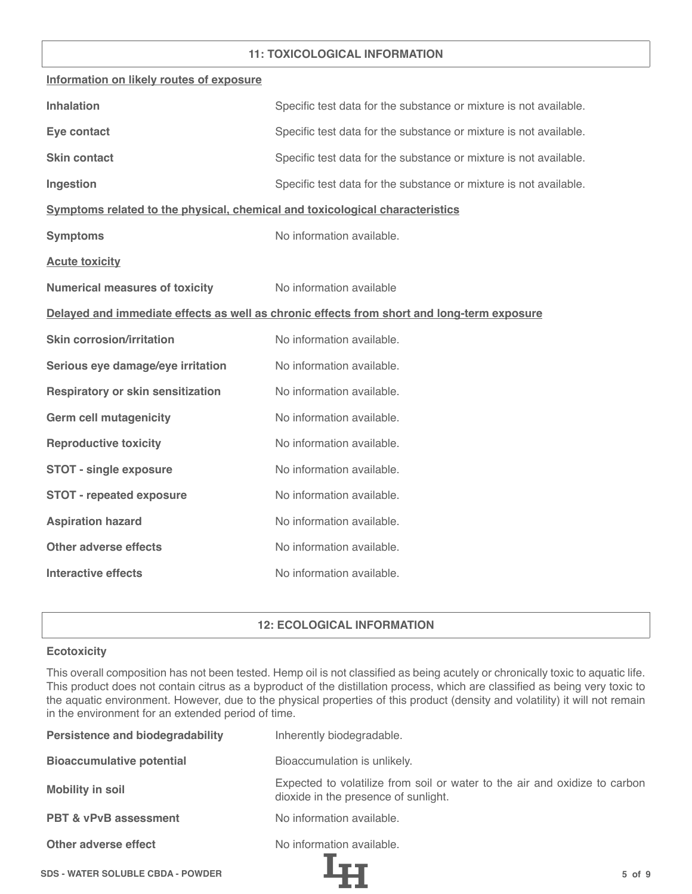## **11: TOXICOLOGICAL INFORMATION**

| Information on likely routes of exposure                                     |                                                                                            |
|------------------------------------------------------------------------------|--------------------------------------------------------------------------------------------|
| <b>Inhalation</b>                                                            | Specific test data for the substance or mixture is not available.                          |
| Eye contact                                                                  | Specific test data for the substance or mixture is not available.                          |
| <b>Skin contact</b>                                                          | Specific test data for the substance or mixture is not available.                          |
| Ingestion                                                                    | Specific test data for the substance or mixture is not available.                          |
| Symptoms related to the physical, chemical and toxicological characteristics |                                                                                            |
| <b>Symptoms</b>                                                              | No information available.                                                                  |
| <b>Acute toxicity</b>                                                        |                                                                                            |
| <b>Numerical measures of toxicity</b>                                        | No information available                                                                   |
|                                                                              | Delayed and immediate effects as well as chronic effects from short and long-term exposure |
| <b>Skin corrosion/irritation</b>                                             | No information available.                                                                  |
| Serious eye damage/eye irritation                                            | No information available.                                                                  |
| <b>Respiratory or skin sensitization</b>                                     | No information available.                                                                  |
| <b>Germ cell mutagenicity</b>                                                | No information available.                                                                  |
| <b>Reproductive toxicity</b>                                                 | No information available.                                                                  |
| <b>STOT - single exposure</b>                                                | No information available.                                                                  |
| <b>STOT - repeated exposure</b>                                              | No information available.                                                                  |
| <b>Aspiration hazard</b>                                                     | No information available.                                                                  |
| <b>Other adverse effects</b>                                                 | No information available.                                                                  |
| <b>Interactive effects</b>                                                   | No information available.                                                                  |

## **12: ECOLOGICAL INFORMATION**

## **Ecotoxicity**

This overall composition has not been tested. Hemp oil is not classified as being acutely or chronically toxic to aquatic life. This product does not contain citrus as a byproduct of the distillation process, which are classified as being very toxic to the aquatic environment. However, due to the physical properties of this product (density and volatility) it will not remain in the environment for an extended period of time.

| <b>Persistence and biodegradability</b>  | Inherently biodegradable.                                                                                          |
|------------------------------------------|--------------------------------------------------------------------------------------------------------------------|
| <b>Bioaccumulative potential</b>         | Bioaccumulation is unlikely.                                                                                       |
| <b>Mobility in soil</b>                  | Expected to volatilize from soil or water to the air and oxidize to carbon<br>dioxide in the presence of sunlight. |
| <b>PBT &amp; vPvB assessment</b>         | No information available.                                                                                          |
| Other adverse effect                     | No information available.                                                                                          |
| <b>SDS - WATER SOLUBLE CBDA - POWDER</b> | $5$ of $9$                                                                                                         |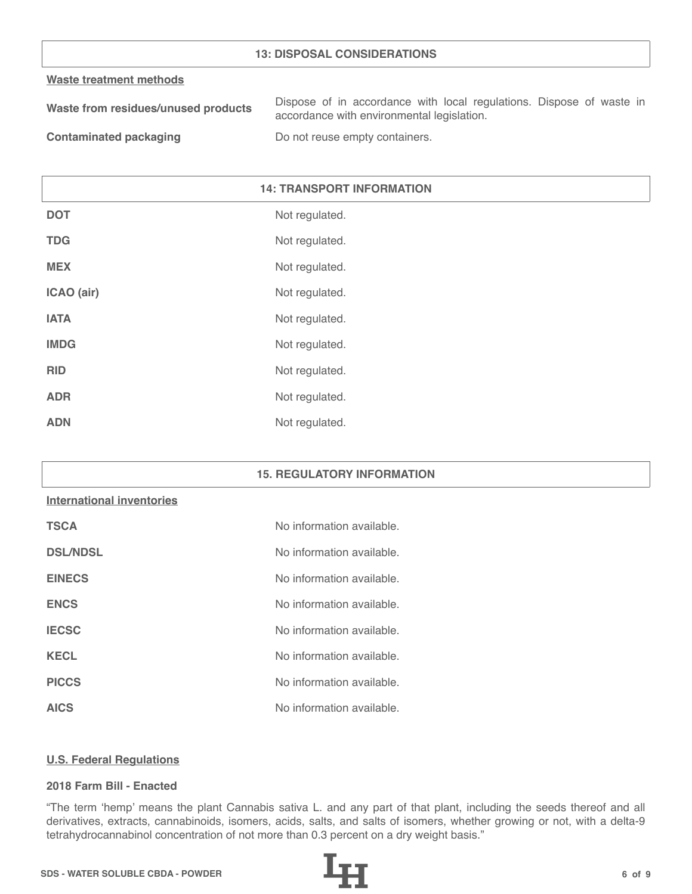## **13: DISPOSAL CONSIDERATIONS**

#### **Waste treatment methods**

| Waste from residues/unused products | Dispose of in accordance with local regulations. Dispose of waste in |
|-------------------------------------|----------------------------------------------------------------------|
|                                     | accordance with environmental legislation.                           |
|                                     |                                                                      |

**Contaminated packaging The Contaminated packaging Containers.** 

# **14: TRANSPORT INFORMATION**

| <b>DOT</b>  | Not regulated. |
|-------------|----------------|
| <b>TDG</b>  | Not regulated. |
| <b>MEX</b>  | Not regulated. |
| ICAO (air)  | Not regulated. |
| <b>IATA</b> | Not regulated. |
| <b>IMDG</b> | Not regulated. |
| <b>RID</b>  | Not regulated. |
| <b>ADR</b>  | Not regulated. |
| <b>ADN</b>  | Not regulated. |

#### **15. REGULATORY INFORMATION**

#### **International inventories**

| <b>TSCA</b>     | No information available. |
|-----------------|---------------------------|
| <b>DSL/NDSL</b> | No information available. |
| <b>EINECS</b>   | No information available. |
| <b>ENCS</b>     | No information available. |
| <b>IECSC</b>    | No information available. |
| <b>KECL</b>     | No information available. |
| <b>PICCS</b>    | No information available. |
| <b>AICS</b>     | No information available. |

#### **U.S. Federal Regulations**

## **2018 Farm Bill - Enacted**

"The term 'hemp' means the plant Cannabis sativa L. and any part of that plant, including the seeds thereof and all derivatives, extracts, cannabinoids, isomers, acids, salts, and salts of isomers, whether growing or not, with a delta-9 tetrahydrocannabinol concentration of not more than 0.3 percent on a dry weight basis."

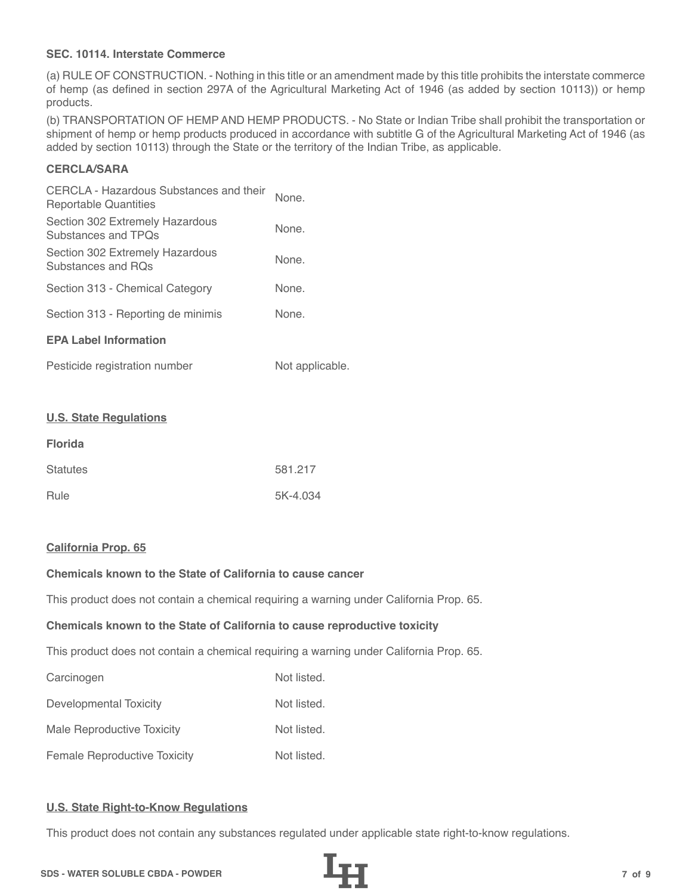## **SEC. 10114. Interstate Commerce**

(a) RULE OF CONSTRUCTION. - Nothing in this title or an amendment made by this title prohibits the interstate commerce of hemp (as defined in section 297A of the Agricultural Marketing Act of 1946 (as added by section 10113)) or hemp products.

(b) TRANSPORTATION OF HEMP AND HEMP PRODUCTS. - No State or Indian Tribe shall prohibit the transportation or shipment of hemp or hemp products produced in accordance with subtitle G of the Agricultural Marketing Act of 1946 (as added by section 10113) through the State or the territory of the Indian Tribe, as applicable.

## **CERCLA/SARA**

| CERCLA - Hazardous Substances and their<br>Reportable Quantities | None. |  |
|------------------------------------------------------------------|-------|--|
| Section 302 Extremely Hazardous<br>Substances and TPOs           | None. |  |
| Section 302 Extremely Hazardous<br>Substances and ROs            | None. |  |
| Section 313 - Chemical Category                                  | None. |  |
| Section 313 - Reporting de minimis                               | None. |  |
| <b>EPA Label Information</b>                                     |       |  |
|                                                                  |       |  |

| Pesticide registration number | Not applicable. |
|-------------------------------|-----------------|
|-------------------------------|-----------------|

#### **U.S. State Regulations**

| <b>Florida</b>  |          |
|-----------------|----------|
| <b>Statutes</b> | 581.217  |
| Rule            | 5K-4.034 |

#### **California Prop. 65**

# **Chemicals known to the State of California to cause cancer**

This product does not contain a chemical requiring a warning under California Prop. 65.

#### **Chemicals known to the State of California to cause reproductive toxicity**

This product does not contain a chemical requiring a warning under California Prop. 65.

| Carcinogen                          | Not listed. |
|-------------------------------------|-------------|
| Developmental Toxicity              | Not listed. |
| Male Reproductive Toxicity          | Not listed. |
| <b>Female Reproductive Toxicity</b> | Not listed. |

## **U.S. State Right-to-Know Regulations**

This product does not contain any substances regulated under applicable state right-to-know regulations.

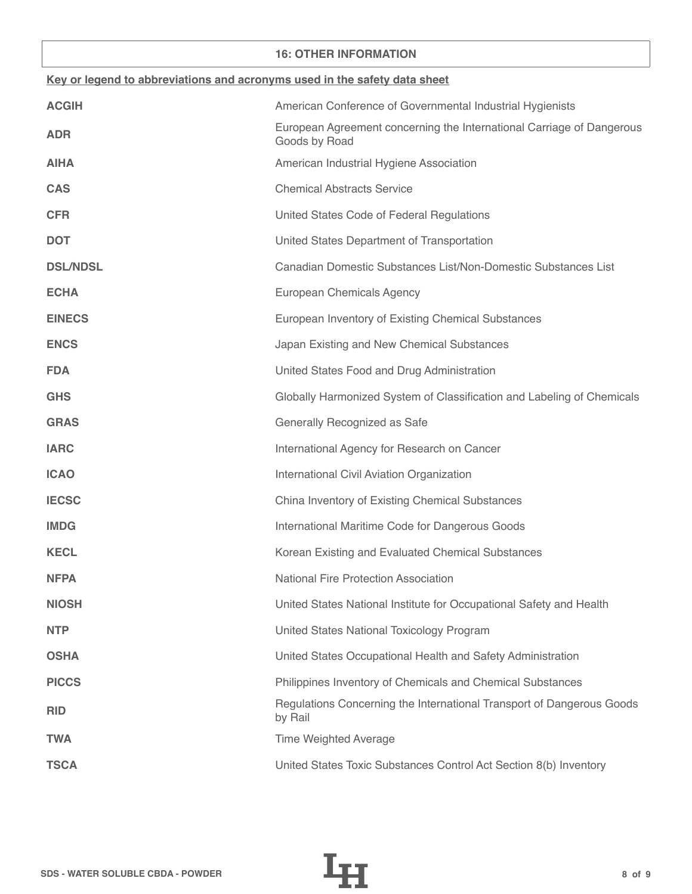## **16: OTHER INFORMATION**

| Key or legend to abbreviations and acronyms used in the safety data sheet |                                                                                        |  |
|---------------------------------------------------------------------------|----------------------------------------------------------------------------------------|--|
| <b>ACGIH</b>                                                              | American Conference of Governmental Industrial Hygienists                              |  |
| <b>ADR</b>                                                                | European Agreement concerning the International Carriage of Dangerous<br>Goods by Road |  |
| <b>AIHA</b>                                                               | American Industrial Hygiene Association                                                |  |
| <b>CAS</b>                                                                | <b>Chemical Abstracts Service</b>                                                      |  |
| <b>CFR</b>                                                                | United States Code of Federal Regulations                                              |  |
| <b>DOT</b>                                                                | United States Department of Transportation                                             |  |
| <b>DSL/NDSL</b>                                                           | Canadian Domestic Substances List/Non-Domestic Substances List                         |  |
| <b>ECHA</b>                                                               | European Chemicals Agency                                                              |  |
| <b>EINECS</b>                                                             | European Inventory of Existing Chemical Substances                                     |  |
| <b>ENCS</b>                                                               | Japan Existing and New Chemical Substances                                             |  |
| <b>FDA</b>                                                                | United States Food and Drug Administration                                             |  |
| <b>GHS</b>                                                                | Globally Harmonized System of Classification and Labeling of Chemicals                 |  |
| <b>GRAS</b>                                                               | Generally Recognized as Safe                                                           |  |
| <b>IARC</b>                                                               | International Agency for Research on Cancer                                            |  |
| <b>ICAO</b>                                                               | International Civil Aviation Organization                                              |  |
| <b>IECSC</b>                                                              | China Inventory of Existing Chemical Substances                                        |  |
| <b>IMDG</b>                                                               | International Maritime Code for Dangerous Goods                                        |  |
| <b>KECL</b>                                                               | Korean Existing and Evaluated Chemical Substances                                      |  |
| <b>NFPA</b>                                                               | <b>National Fire Protection Association</b>                                            |  |
| <b>NIOSH</b>                                                              | United States National Institute for Occupational Safety and Health                    |  |
| <b>NTP</b>                                                                | United States National Toxicology Program                                              |  |
| <b>OSHA</b>                                                               | United States Occupational Health and Safety Administration                            |  |
| <b>PICCS</b>                                                              | Philippines Inventory of Chemicals and Chemical Substances                             |  |
| <b>RID</b>                                                                | Regulations Concerning the International Transport of Dangerous Goods<br>by Rail       |  |
| <b>TWA</b>                                                                | <b>Time Weighted Average</b>                                                           |  |
| <b>TSCA</b>                                                               | United States Toxic Substances Control Act Section 8(b) Inventory                      |  |